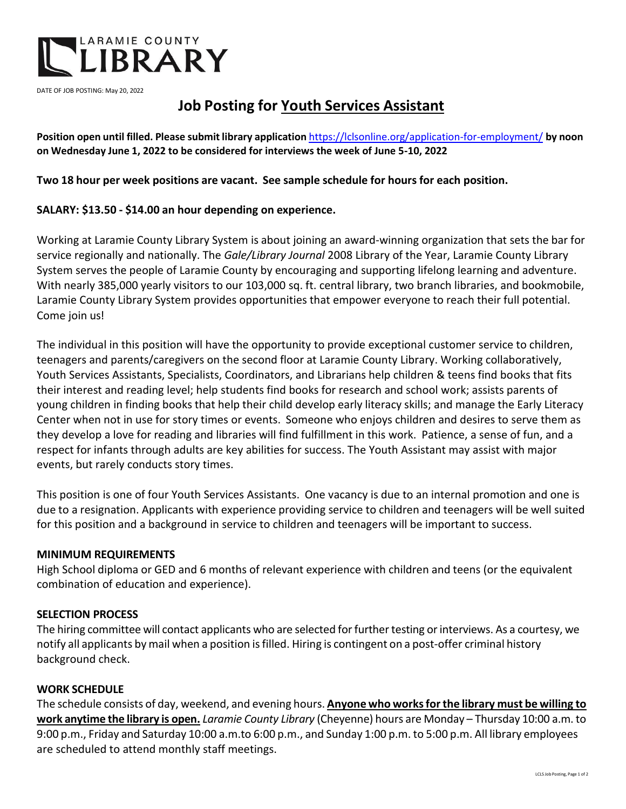

DATE OF JOB POSTING: May 20, 2022

# **Job Posting for Youth Services Assistant**

**Position open until filled. Please submit library application** <https://lclsonline.org/application-for-employment/> **by noon on Wednesday June 1, 2022 to be considered for interviews the week of June 5-10, 2022**

**Two 18 hour per week positions are vacant. See sample schedule for hours for each position.** 

## **SALARY: \$13.50 - \$14.00 an hour depending on experience.**

Working at Laramie County Library System is about joining an award-winning organization that sets the bar for service regionally and nationally. The *Gale/Library Journal* 2008 Library of the Year, Laramie County Library System serves the people of Laramie County by encouraging and supporting lifelong learning and adventure. With nearly 385,000 yearly visitors to our 103,000 sq. ft. central library, two branch libraries, and bookmobile, Laramie County Library System provides opportunities that empower everyone to reach their full potential. Come join us!

The individual in this position will have the opportunity to provide exceptional customer service to children, teenagers and parents/caregivers on the second floor at Laramie County Library. Working collaboratively, Youth Services Assistants, Specialists, Coordinators, and Librarians help children & teens find books that fits their interest and reading level; help students find books for research and school work; assists parents of young children in finding books that help their child develop early literacy skills; and manage the Early Literacy Center when not in use for story times or events. Someone who enjoys children and desires to serve them as they develop a love for reading and libraries will find fulfillment in this work. Patience, a sense of fun, and a respect for infants through adults are key abilities for success. The Youth Assistant may assist with major events, but rarely conducts story times.

This position is one of four Youth Services Assistants. One vacancy is due to an internal promotion and one is due to a resignation. Applicants with experience providing service to children and teenagers will be well suited for this position and a background in service to children and teenagers will be important to success.

## **MINIMUM REQUIREMENTS**

High School diploma or GED and 6 months of relevant experience with children and teens (or the equivalent combination of education and experience).

## **SELECTION PROCESS**

The hiring committee will contact applicants who are selected for further testing or interviews. As a courtesy, we notify all applicants by mail when a position isfilled. Hiring is contingent on a post-offer criminal history background check.

#### **WORK SCHEDULE**

The schedule consists of day, weekend, and evening hours. **Anyone who worksforthe library must be willing to work anytime the library is open.** *Laramie County Library* (Cheyenne) hours are Monday – Thursday 10:00 a.m. to 9:00 p.m., Friday and Saturday 10:00 a.m.to 6:00 p.m., and Sunday 1:00 p.m. to 5:00 p.m. All library employees are scheduled to attend monthly staff meetings.